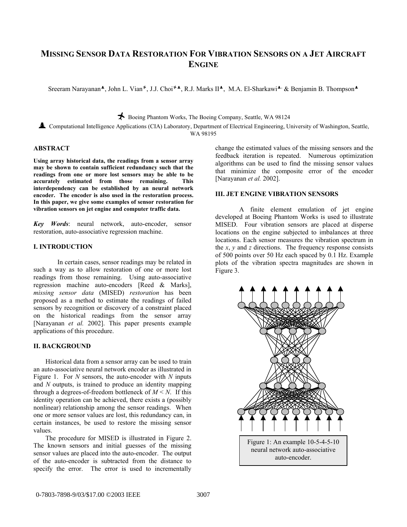# **MISSING SENSOR DATA RESTORATION FOR VIBRATION SENSORS ON A JET AIRCRAFT ENGINE**

Sreeram Narayanan<sup>\*</sup>, John L. Vian<sup>\*</sup>, J.J. Choi<sup>\*\*</sup>, R.J. Marks II<sup>\*</sup>, M.A. El-Sharkawi<sup>\*,</sup> & Benjamin B. Thompson<sup>\*</sup>

Ó Boeing Phantom Works, The Boeing Company, Seattle, WA 98124

½ Computational Intelligence Applications (CIA) Laboratory, Department of Electrical Engineering, University of Washington, Seattle, WA 98195

### **ABSTRACT**

**Using array historical data, the readings from a sensor array may be shown to contain sufficient redundancy such that the readings from one or more lost sensors may be able to be accurately estimated from those remaining. This interdependency can be established by an neural network encoder. The encoder is also used in the restoration process. In this paper, we give some examples of sensor restoration for vibration sensors on jet engine and computer traffic data.** 

*Key Words*: neural network, auto-encoder, sensor restoration, auto-associative regression machine.

#### **I. INTRODUCTION**

In certain cases, sensor readings may be related in such a way as to allow restoration of one or more lost readings from those remaining. Using auto-associative regression machine auto-encoders [Reed & Marks], *missing sensor data* (MISED) *restoration* has been proposed as a method to estimate the readings of failed sensors by recognition or discovery of a constraint placed on the historical readings from the sensor array [Narayanan *et al.* 2002]. This paper presents example applications of this procedure.

#### **II. BACKGROUND**

Historical data from a sensor array can be used to train an auto-associative neural network encoder as illustrated in Figure 1. For *N* sensors, the auto-encoder with *N* inputs and *N* outputs, is trained to produce an identity mapping through a degrees-of-freedom bottleneck of  $M \le N$ . If this identity operation can be achieved, there exists a (possibly nonlinear) relationship among the sensor readings. When one or more sensor values are lost, this redundancy can, in certain instances, be used to restore the missing sensor values.

The procedure for MISED is illustrated in Figure 2. The known sensors and initial guesses of the missing sensor values are placed into the auto-encoder. The output of the auto-encoder is subtracted from the distance to specify the error. The error is used to incrementally

change the estimated values of the missing sensors and the feedback iteration is repeated. Numerous optimization algorithms can be used to find the missing sensor values that minimize the composite error of the encoder [Narayanan *et al.* 2002].

## **III. JET ENGINE VIBRATION SENSORS**

A finite element emulation of jet engine developed at Boeing Phantom Works is used to illustrate MISED. Four vibration sensors are placed at disperse locations on the engine subjected to imbalances at three locations. Each sensor measures the vibration spectrum in the *x*, *y* and *z* directions. The frequency response consists of 500 points over 50 Hz each spaced by 0.1 Hz. Example plots of the vibration spectra magnitudes are shown in Figure 3.

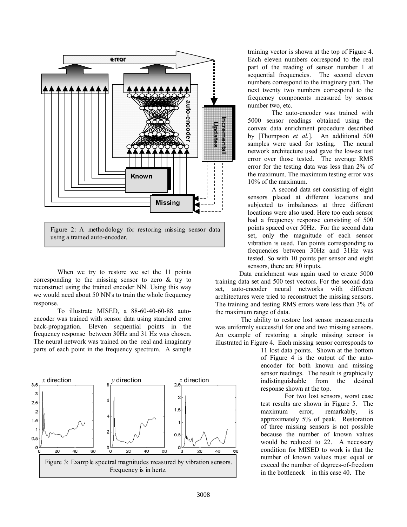

Figure 2: A methodology for restoring missing sensor data using a trained auto-encoder.

When we try to restore we set the 11 points corresponding to the missing sensor to zero & try to reconstruct using the trained encoder NN. Using this way we would need about 50 NN's to train the whole frequency response.

To illustrate MISED, a 88-60-40-60-88 autoencoder was trained with sensor data using standard error back-propagation. Eleven sequential points in the frequency response between 30Hz and 31 Hz was chosen. The neural network was trained on the real and imaginary parts of each point in the frequency spectrum. A sample



training vector is shown at the top of Figure 4. Each eleven numbers correspond to the real part of the reading of sensor number 1 at sequential frequencies. The second eleven numbers correspond to the imaginary part. The next twenty two numbers correspond to the frequency components measured by sensor number two, etc.

The auto-encoder was trained with 5000 sensor readings obtained using the convex data enrichment procedure described by [Thompson *et al.*]. An additional 500 samples were used for testing. The neural network architecture used gave the lowest test error over those tested. The average RMS error for the testing data was less than 2% of the maximum. The maximum testing error was 10% of the maximum.

A second data set consisting of eight sensors placed at different locations and subjected to imbalances at three different locations were also used. Here too each sensor had a frequency response consisting of 500 points spaced over 50Hz. For the second data set, only the magnitude of each sensor vibration is used. Ten points corresponding to frequencies between 30Hz and 31Hz was tested. So with 10 points per sensor and eight sensors, there are 80 inputs.

Data enrichment was again used to create 5000 training data set and 500 test vectors. For the second data set, auto-encoder neural networks with different architectures were tried to reconstruct the missing sensors. The training and testing RMS errors were less than 3% of the maximum range of data.

The ability to restore lost sensor measurements was uniformly successful for one and two missing sensors. An example of restoring a single missing sensor is illustrated in Figure 4. Each missing sensor corresponds to

> 11 lost data points. Shown at the bottom of Figure 4 is the output of the autoencoder for both known and missing sensor readings. The result is graphically indistinguishable from the desired response shown at the top.

> For two lost sensors, worst case test results are shown in Figure 5. The maximum error, remarkably, is approximately 5% of peak. Restoration of three missing sensors is not possible because the number of known values would be reduced to 22. A necessary condition for MISED to work is that the number of known values must equal or exceed the number of degrees-of-freedom in the bottleneck – in this case 40. The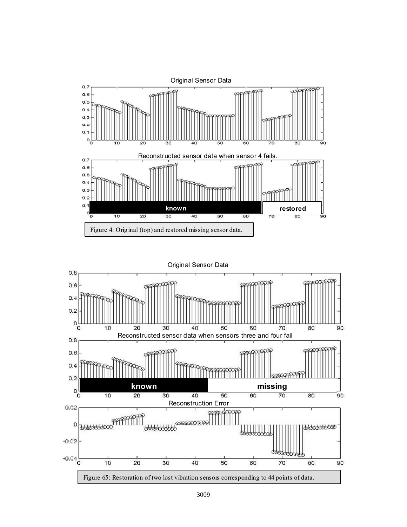